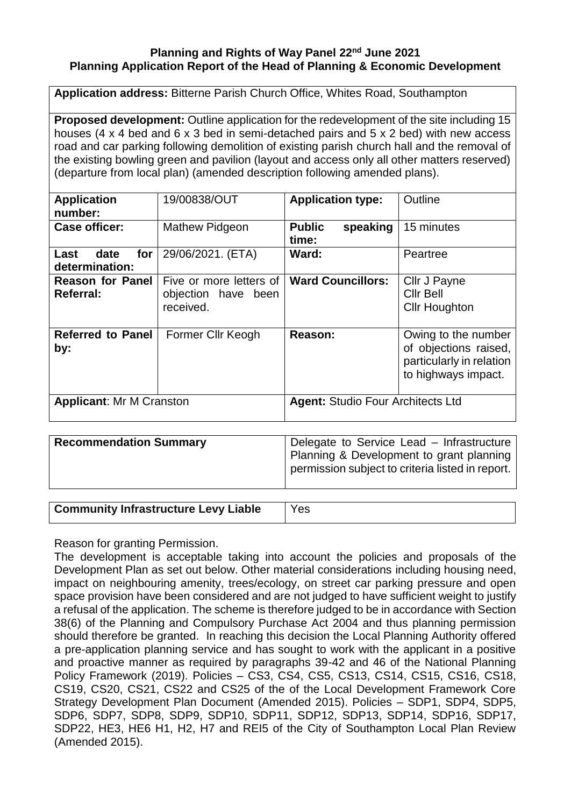## **Planning and Rights of Way Panel 22nd June 2021 Planning Application Report of the Head of Planning & Economic Development**

**Application address:** Bitterne Parish Church Office, Whites Road, Southampton

**Proposed development:** Outline application for the redevelopment of the site including 15 houses (4 x 4 bed and 6 x 3 bed in semi-detached pairs and 5 x 2 bed) with new access road and car parking following demolition of existing parish church hall and the removal of the existing bowling green and pavilion (layout and access only all other matters reserved) (departure from local plan) (amended description following amended plans).

| <b>Application</b><br>number:               | 19/00838/OUT                                                | <b>Application type:</b>                 | Outline                                                                                         |
|---------------------------------------------|-------------------------------------------------------------|------------------------------------------|-------------------------------------------------------------------------------------------------|
| <b>Case officer:</b>                        | <b>Mathew Pidgeon</b>                                       | <b>Public</b><br>speaking<br>time:       | 15 minutes                                                                                      |
| date<br>for<br>Last<br>determination:       | 29/06/2021. (ETA)                                           | Ward:                                    | Peartree                                                                                        |
| <b>Reason for Panel</b><br><b>Referral:</b> | Five or more letters of<br>objection have been<br>received. | <b>Ward Councillors:</b>                 | Cllr J Payne<br>Cllr Bell<br><b>Cllr Houghton</b>                                               |
| <b>Referred to Panel</b><br>by:             | Former Cllr Keogh                                           | Reason:                                  | Owing to the number<br>of objections raised,<br>particularly in relation<br>to highways impact. |
| <b>Applicant: Mr M Cranston</b>             |                                                             | <b>Agent: Studio Four Architects Ltd</b> |                                                                                                 |

| <b>Recommendation Summary</b> | Delegate to Service Lead - Infrastructure<br>Planning & Development to grant planning<br>permission subject to criteria listed in report. |
|-------------------------------|-------------------------------------------------------------------------------------------------------------------------------------------|
|-------------------------------|-------------------------------------------------------------------------------------------------------------------------------------------|

**Community Infrastructure Levy Liable** | Yes

Reason for granting Permission.

The development is acceptable taking into account the policies and proposals of the Development Plan as set out below. Other material considerations including housing need, impact on neighbouring amenity, trees/ecology, on street car parking pressure and open space provision have been considered and are not judged to have sufficient weight to justify a refusal of the application. The scheme is therefore judged to be in accordance with Section 38(6) of the Planning and Compulsory Purchase Act 2004 and thus planning permission should therefore be granted. In reaching this decision the Local Planning Authority offered a pre-application planning service and has sought to work with the applicant in a positive and proactive manner as required by paragraphs 39-42 and 46 of the National Planning Policy Framework (2019). Policies – CS3, CS4, CS5, CS13, CS14, CS15, CS16, CS18, CS19, CS20, CS21, CS22 and CS25 of the of the Local Development Framework Core Strategy Development Plan Document (Amended 2015). Policies – SDP1, SDP4, SDP5, SDP6, SDP7, SDP8, SDP9, SDP10, SDP11, SDP12, SDP13, SDP14, SDP16, SDP17, SDP22, HE3, HE6 H1, H2, H7 and REI5 of the City of Southampton Local Plan Review (Amended 2015).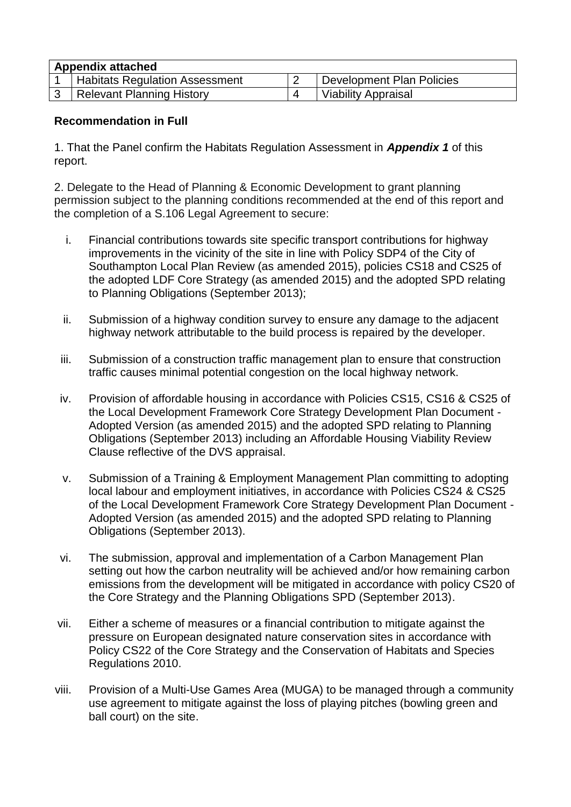| <b>Appendix attached</b> |                                       |  |                           |  |
|--------------------------|---------------------------------------|--|---------------------------|--|
|                          | <b>Habitats Regulation Assessment</b> |  | Development Plan Policies |  |
|                          | Relevant Planning History             |  | Viability Appraisal       |  |

#### **Recommendation in Full**

1. That the Panel confirm the Habitats Regulation Assessment in *Appendix 1* of this report.

2. Delegate to the Head of Planning & Economic Development to grant planning permission subject to the planning conditions recommended at the end of this report and the completion of a S.106 Legal Agreement to secure:

- i. Financial contributions towards site specific transport contributions for highway improvements in the vicinity of the site in line with Policy SDP4 of the City of Southampton Local Plan Review (as amended 2015), policies CS18 and CS25 of the adopted LDF Core Strategy (as amended 2015) and the adopted SPD relating to Planning Obligations (September 2013);
- ii. Submission of a highway condition survey to ensure any damage to the adjacent highway network attributable to the build process is repaired by the developer.
- iii. Submission of a construction traffic management plan to ensure that construction traffic causes minimal potential congestion on the local highway network.
- iv. Provision of affordable housing in accordance with Policies CS15, CS16 & CS25 of the Local Development Framework Core Strategy Development Plan Document - Adopted Version (as amended 2015) and the adopted SPD relating to Planning Obligations (September 2013) including an Affordable Housing Viability Review Clause reflective of the DVS appraisal.
- v. Submission of a Training & Employment Management Plan committing to adopting local labour and employment initiatives, in accordance with Policies CS24 & CS25 of the Local Development Framework Core Strategy Development Plan Document - Adopted Version (as amended 2015) and the adopted SPD relating to Planning Obligations (September 2013).
- vi. The submission, approval and implementation of a Carbon Management Plan setting out how the carbon neutrality will be achieved and/or how remaining carbon emissions from the development will be mitigated in accordance with policy CS20 of the Core Strategy and the Planning Obligations SPD (September 2013).
- vii. Either a scheme of measures or a financial contribution to mitigate against the pressure on European designated nature conservation sites in accordance with Policy CS22 of the Core Strategy and the Conservation of Habitats and Species Regulations 2010.
- viii. Provision of a Multi-Use Games Area (MUGA) to be managed through a community use agreement to mitigate against the loss of playing pitches (bowling green and ball court) on the site.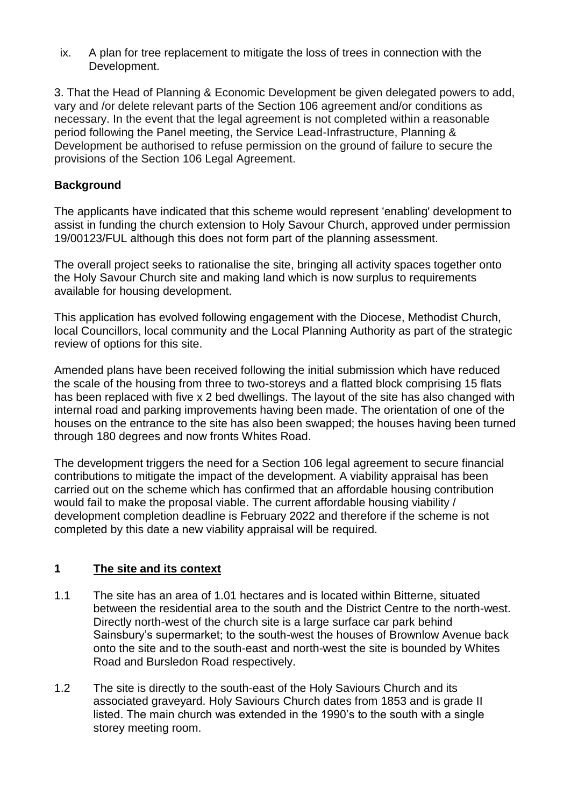ix. A plan for tree replacement to mitigate the loss of trees in connection with the Development.

3. That the Head of Planning & Economic Development be given delegated powers to add, vary and /or delete relevant parts of the Section 106 agreement and/or conditions as necessary. In the event that the legal agreement is not completed within a reasonable period following the Panel meeting, the Service Lead-Infrastructure, Planning & Development be authorised to refuse permission on the ground of failure to secure the provisions of the Section 106 Legal Agreement.

# **Background**

The applicants have indicated that this scheme would represent 'enabling' development to assist in funding the church extension to Holy Savour Church, approved under permission 19/00123/FUL although this does not form part of the planning assessment.

The overall project seeks to rationalise the site, bringing all activity spaces together onto the Holy Savour Church site and making land which is now surplus to requirements available for housing development.

This application has evolved following engagement with the Diocese, Methodist Church, local Councillors, local community and the Local Planning Authority as part of the strategic review of options for this site.

Amended plans have been received following the initial submission which have reduced the scale of the housing from three to two-storeys and a flatted block comprising 15 flats has been replaced with five x 2 bed dwellings. The layout of the site has also changed with internal road and parking improvements having been made. The orientation of one of the houses on the entrance to the site has also been swapped; the houses having been turned through 180 degrees and now fronts Whites Road.

The development triggers the need for a Section 106 legal agreement to secure financial contributions to mitigate the impact of the development. A viability appraisal has been carried out on the scheme which has confirmed that an affordable housing contribution would fail to make the proposal viable. The current affordable housing viability / development completion deadline is February 2022 and therefore if the scheme is not completed by this date a new viability appraisal will be required.

# **1 The site and its context**

- 1.1 The site has an area of 1.01 hectares and is located within Bitterne, situated between the residential area to the south and the District Centre to the north-west. Directly north-west of the church site is a large surface car park behind Sainsbury's supermarket; to the south-west the houses of Brownlow Avenue back onto the site and to the south-east and north-west the site is bounded by Whites Road and Bursledon Road respectively.
- 1.2 The site is directly to the south-east of the Holy Saviours Church and its associated graveyard. Holy Saviours Church dates from 1853 and is grade II listed. The main church was extended in the 1990's to the south with a single storey meeting room.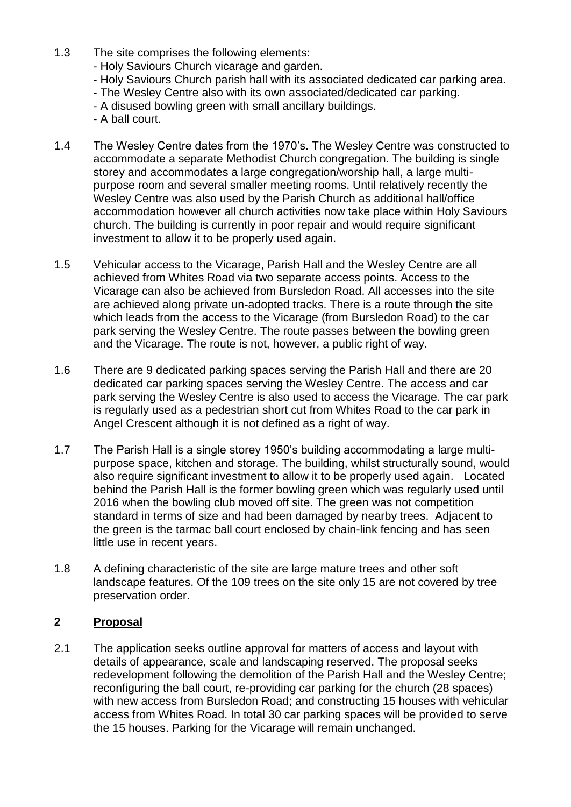- 1.3 The site comprises the following elements:
	- Holy Saviours Church vicarage and garden.
	- Holy Saviours Church parish hall with its associated dedicated car parking area.
	- The Wesley Centre also with its own associated/dedicated car parking.
	- A disused bowling green with small ancillary buildings.
	- A ball court.
- 1.4 The Wesley Centre dates from the 1970's. The Wesley Centre was constructed to accommodate a separate Methodist Church congregation. The building is single storey and accommodates a large congregation/worship hall, a large multipurpose room and several smaller meeting rooms. Until relatively recently the Wesley Centre was also used by the Parish Church as additional hall/office accommodation however all church activities now take place within Holy Saviours church. The building is currently in poor repair and would require significant investment to allow it to be properly used again.
- 1.5 Vehicular access to the Vicarage, Parish Hall and the Wesley Centre are all achieved from Whites Road via two separate access points. Access to the Vicarage can also be achieved from Bursledon Road. All accesses into the site are achieved along private un-adopted tracks. There is a route through the site which leads from the access to the Vicarage (from Bursledon Road) to the car park serving the Wesley Centre. The route passes between the bowling green and the Vicarage. The route is not, however, a public right of way.
- 1.6 There are 9 dedicated parking spaces serving the Parish Hall and there are 20 dedicated car parking spaces serving the Wesley Centre. The access and car park serving the Wesley Centre is also used to access the Vicarage. The car park is regularly used as a pedestrian short cut from Whites Road to the car park in Angel Crescent although it is not defined as a right of way.
- 1.7 The Parish Hall is a single storey 1950's building accommodating a large multipurpose space, kitchen and storage. The building, whilst structurally sound, would also require significant investment to allow it to be properly used again. Located behind the Parish Hall is the former bowling green which was regularly used until 2016 when the bowling club moved off site. The green was not competition standard in terms of size and had been damaged by nearby trees. Adjacent to the green is the tarmac ball court enclosed by chain-link fencing and has seen little use in recent years.
- 1.8 A defining characteristic of the site are large mature trees and other soft landscape features. Of the 109 trees on the site only 15 are not covered by tree preservation order.

# **2 Proposal**

2.1 The application seeks outline approval for matters of access and layout with details of appearance, scale and landscaping reserved. The proposal seeks redevelopment following the demolition of the Parish Hall and the Wesley Centre; reconfiguring the ball court, re-providing car parking for the church (28 spaces) with new access from Bursledon Road; and constructing 15 houses with vehicular access from Whites Road. In total 30 car parking spaces will be provided to serve the 15 houses. Parking for the Vicarage will remain unchanged.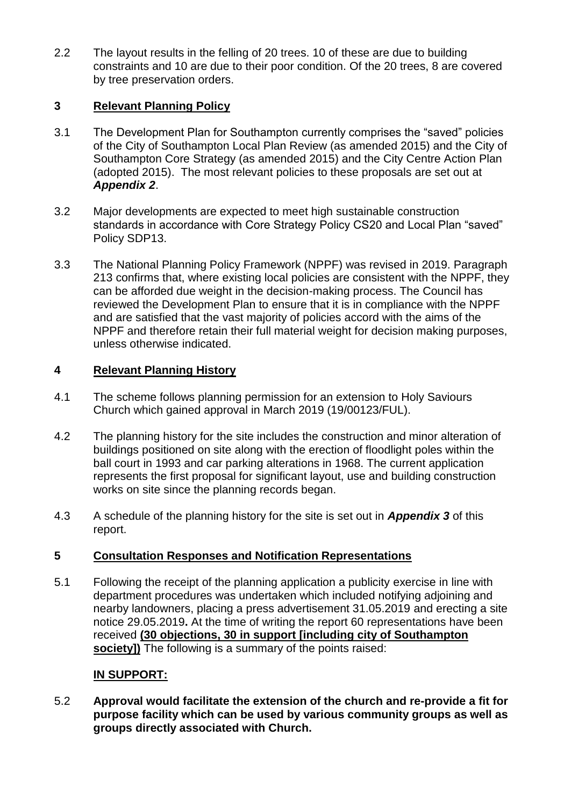2.2 The layout results in the felling of 20 trees. 10 of these are due to building constraints and 10 are due to their poor condition. Of the 20 trees, 8 are covered by tree preservation orders.

# **3 Relevant Planning Policy**

- 3.1 The Development Plan for Southampton currently comprises the "saved" policies of the City of Southampton Local Plan Review (as amended 2015) and the City of Southampton Core Strategy (as amended 2015) and the City Centre Action Plan (adopted 2015). The most relevant policies to these proposals are set out at *Appendix 2*.
- 3.2 Major developments are expected to meet high sustainable construction standards in accordance with Core Strategy Policy CS20 and Local Plan "saved" Policy SDP13.
- 3.3 The National Planning Policy Framework (NPPF) was revised in 2019. Paragraph 213 confirms that, where existing local policies are consistent with the NPPF, they can be afforded due weight in the decision-making process. The Council has reviewed the Development Plan to ensure that it is in compliance with the NPPF and are satisfied that the vast majority of policies accord with the aims of the NPPF and therefore retain their full material weight for decision making purposes, unless otherwise indicated.

# **4 Relevant Planning History**

- 4.1 The scheme follows planning permission for an extension to Holy Saviours Church which gained approval in March 2019 (19/00123/FUL).
- 4.2 The planning history for the site includes the construction and minor alteration of buildings positioned on site along with the erection of floodlight poles within the ball court in 1993 and car parking alterations in 1968. The current application represents the first proposal for significant layout, use and building construction works on site since the planning records began.
- 4.3 A schedule of the planning history for the site is set out in *Appendix 3* of this report.

# **5 Consultation Responses and Notification Representations**

5.1 Following the receipt of the planning application a publicity exercise in line with department procedures was undertaken which included notifying adjoining and nearby landowners, placing a press advertisement 31.05.2019 and erecting a site notice 29.05.2019**.** At the time of writing the report 60 representations have been received **(30 objections, 30 in support [including city of Southampton society])** The following is a summary of the points raised:

# **IN SUPPORT:**

5.2 **Approval would facilitate the extension of the church and re-provide a fit for purpose facility which can be used by various community groups as well as groups directly associated with Church.**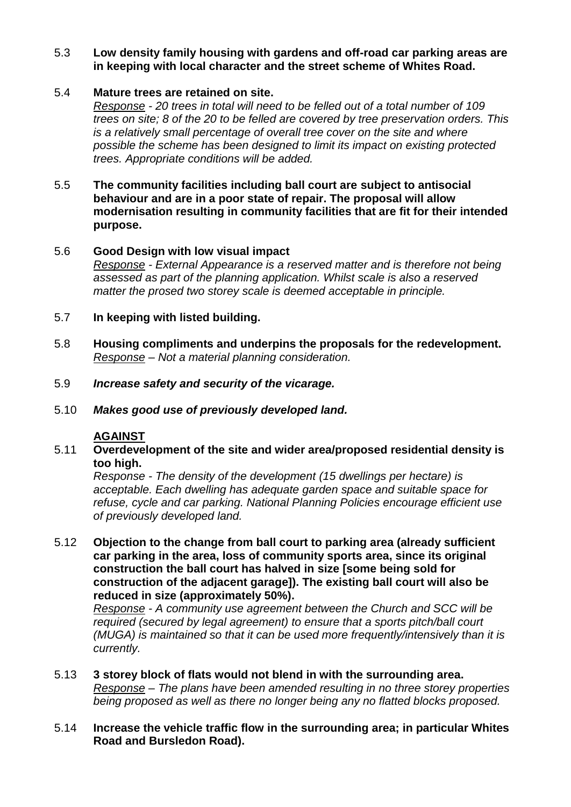## 5.3 **Low density family housing with gardens and off-road car parking areas are in keeping with local character and the street scheme of Whites Road.**

## 5.4 **Mature trees are retained on site.**

*Response - 20 trees in total will need to be felled out of a total number of 109 trees on site; 8 of the 20 to be felled are covered by tree preservation orders. This is a relatively small percentage of overall tree cover on the site and where possible the scheme has been designed to limit its impact on existing protected trees. Appropriate conditions will be added.*

#### 5.5 **The community facilities including ball court are subject to antisocial behaviour and are in a poor state of repair. The proposal will allow modernisation resulting in community facilities that are fit for their intended purpose.**

## 5.6 **Good Design with low visual impact**

*Response - External Appearance is a reserved matter and is therefore not being assessed as part of the planning application. Whilst scale is also a reserved matter the prosed two storey scale is deemed acceptable in principle.*

## 5.7 **In keeping with listed building.**

- 5.8 **Housing compliments and underpins the proposals for the redevelopment.** *Response – Not a material planning consideration.*
- 5.9 *Increase safety and security of the vicarage.*
- 5.10 *Makes good use of previously developed land.*

# **AGAINST**

5.11 **Overdevelopment of the site and wider area/proposed residential density is too high.**

*Response - The density of the development (15 dwellings per hectare) is acceptable. Each dwelling has adequate garden space and suitable space for refuse, cycle and car parking. National Planning Policies encourage efficient use of previously developed land.*

5.12 **Objection to the change from ball court to parking area (already sufficient car parking in the area, loss of community sports area, since its original construction the ball court has halved in size [some being sold for construction of the adjacent garage]). The existing ball court will also be reduced in size (approximately 50%).**

*Response - A community use agreement between the Church and SCC will be required (secured by legal agreement) to ensure that a sports pitch/ball court (MUGA) is maintained so that it can be used more frequently/intensively than it is currently.*

5.13 **3 storey block of flats would not blend in with the surrounding area.** *Response – The plans have been amended resulting in no three storey properties being proposed as well as there no longer being any no flatted blocks proposed.*

#### 5.14 **Increase the vehicle traffic flow in the surrounding area; in particular Whites Road and Bursledon Road).**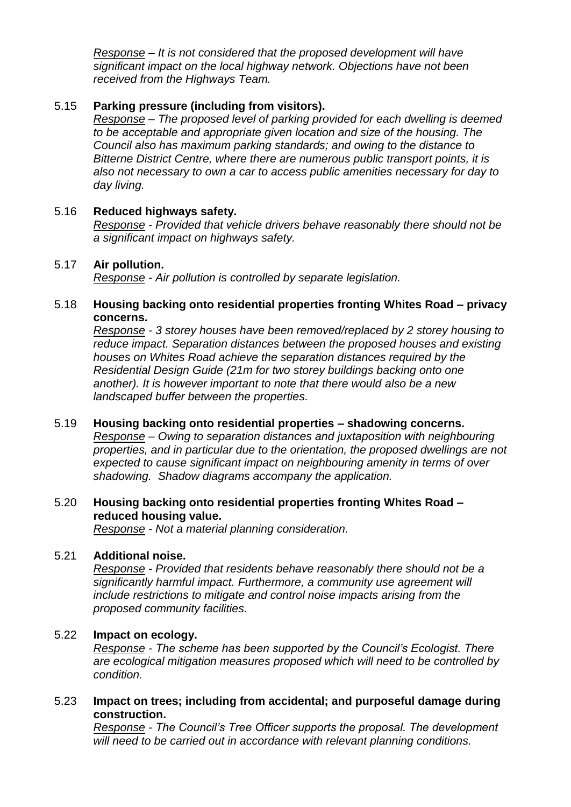*Response – It is not considered that the proposed development will have significant impact on the local highway network. Objections have not been received from the Highways Team.*

#### 5.15 **Parking pressure (including from visitors).**

*Response – The proposed level of parking provided for each dwelling is deemed to be acceptable and appropriate given location and size of the housing. The Council also has maximum parking standards; and owing to the distance to Bitterne District Centre, where there are numerous public transport points, it is also not necessary to own a car to access public amenities necessary for day to day living.*

#### 5.16 **Reduced highways safety.**

*Response - Provided that vehicle drivers behave reasonably there should not be a significant impact on highways safety.*

#### 5.17 **Air pollution.**

*Response - Air pollution is controlled by separate legislation.* 

#### 5.18 **Housing backing onto residential properties fronting Whites Road – privacy concerns.**

*Response - 3 storey houses have been removed/replaced by 2 storey housing to reduce impact. Separation distances between the proposed houses and existing houses on Whites Road achieve the separation distances required by the Residential Design Guide (21m for two storey buildings backing onto one another). It is however important to note that there would also be a new landscaped buffer between the properties.* 

#### 5.19 **Housing backing onto residential properties – shadowing concerns.**

*Response – Owing to separation distances and juxtaposition with neighbouring properties, and in particular due to the orientation, the proposed dwellings are not expected to cause significant impact on neighbouring amenity in terms of over shadowing. Shadow diagrams accompany the application.*

# 5.20 **Housing backing onto residential properties fronting Whites Road – reduced housing value.**

*Response - Not a material planning consideration.*

#### 5.21 **Additional noise.**

*Response - Provided that residents behave reasonably there should not be a significantly harmful impact. Furthermore, a community use agreement will include restrictions to mitigate and control noise impacts arising from the proposed community facilities.*

#### 5.22 **Impact on ecology.**

*Response - The scheme has been supported by the Council's Ecologist. There are ecological mitigation measures proposed which will need to be controlled by condition.*

## 5.23 **Impact on trees; including from accidental; and purposeful damage during construction.**

*Response - The Council's Tree Officer supports the proposal. The development will need to be carried out in accordance with relevant planning conditions.*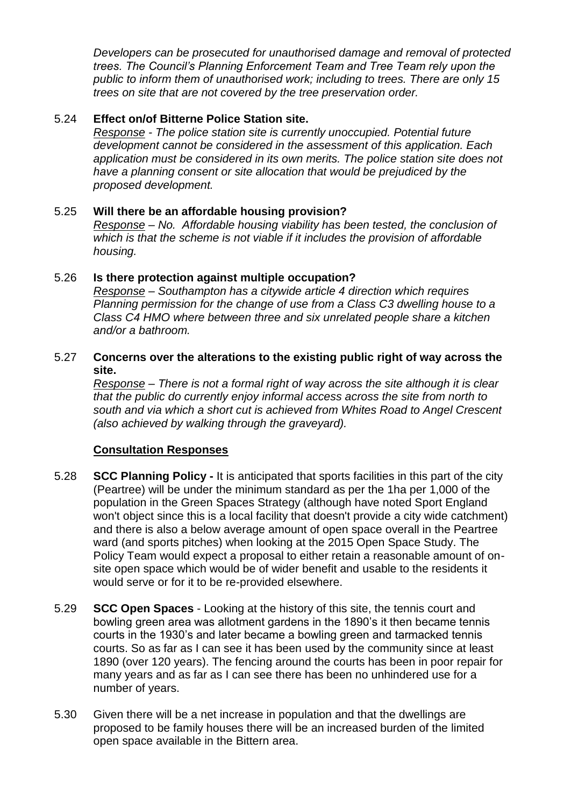*Developers can be prosecuted for unauthorised damage and removal of protected trees. The Council's Planning Enforcement Team and Tree Team rely upon the public to inform them of unauthorised work; including to trees. There are only 15 trees on site that are not covered by the tree preservation order.*

## 5.24 **Effect on/of Bitterne Police Station site.**

*Response - The police station site is currently unoccupied. Potential future development cannot be considered in the assessment of this application. Each application must be considered in its own merits. The police station site does not have a planning consent or site allocation that would be prejudiced by the proposed development.*

## 5.25 **Will there be an affordable housing provision?**

*Response – No. Affordable housing viability has been tested, the conclusion of which is that the scheme is not viable if it includes the provision of affordable housing.*

#### 5.26 **Is there protection against multiple occupation?**

*Response – Southampton has a citywide article 4 direction which requires Planning permission for the change of use from a Class C3 dwelling house to a Class C4 HMO where between three and six unrelated people share a kitchen and/or a bathroom.*

## 5.27 **Concerns over the alterations to the existing public right of way across the site.**

*Response – There is not a formal right of way across the site although it is clear that the public do currently enjoy informal access across the site from north to south and via which a short cut is achieved from Whites Road to Angel Crescent (also achieved by walking through the graveyard).*

# **Consultation Responses**

- 5.28 **SCC Planning Policy -** It is anticipated that sports facilities in this part of the city (Peartree) will be under the minimum standard as per the 1ha per 1,000 of the population in the Green Spaces Strategy (although have noted Sport England won't object since this is a local facility that doesn't provide a city wide catchment) and there is also a below average amount of open space overall in the Peartree ward (and sports pitches) when looking at the 2015 Open Space Study. The Policy Team would expect a proposal to either retain a reasonable amount of onsite open space which would be of wider benefit and usable to the residents it would serve or for it to be re-provided elsewhere.
- 5.29 **SCC Open Spaces** Looking at the history of this site, the tennis court and bowling green area was allotment gardens in the 1890's it then became tennis courts in the 1930's and later became a bowling green and tarmacked tennis courts. So as far as I can see it has been used by the community since at least 1890 (over 120 years). The fencing around the courts has been in poor repair for many years and as far as I can see there has been no unhindered use for a number of years.
- 5.30 Given there will be a net increase in population and that the dwellings are proposed to be family houses there will be an increased burden of the limited open space available in the Bittern area.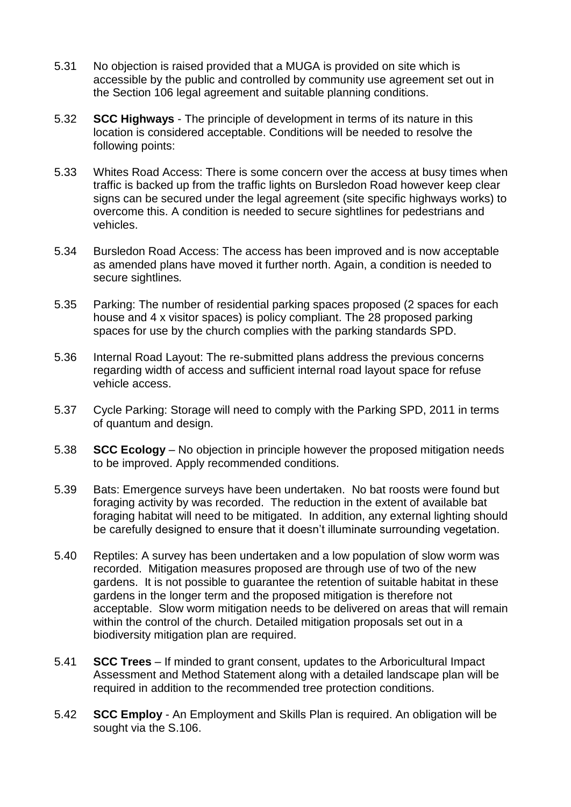- 5.31 No objection is raised provided that a MUGA is provided on site which is accessible by the public and controlled by community use agreement set out in the Section 106 legal agreement and suitable planning conditions.
- 5.32 **SCC Highways**  The principle of development in terms of its nature in this location is considered acceptable. Conditions will be needed to resolve the following points:
- 5.33 Whites Road Access: There is some concern over the access at busy times when traffic is backed up from the traffic lights on Bursledon Road however keep clear signs can be secured under the legal agreement (site specific highways works) to overcome this. A condition is needed to secure sightlines for pedestrians and vehicles.
- 5.34 Bursledon Road Access: The access has been improved and is now acceptable as amended plans have moved it further north. Again, a condition is needed to secure sightlines*.*
- 5.35 Parking: The number of residential parking spaces proposed (2 spaces for each house and 4 x visitor spaces) is policy compliant. The 28 proposed parking spaces for use by the church complies with the parking standards SPD.
- 5.36 Internal Road Layout: The re-submitted plans address the previous concerns regarding width of access and sufficient internal road layout space for refuse vehicle access.
- 5.37 Cycle Parking: Storage will need to comply with the Parking SPD, 2011 in terms of quantum and design.
- 5.38 **SCC Ecology**  No objection in principle however the proposed mitigation needs to be improved. Apply recommended conditions.
- 5.39 Bats: Emergence surveys have been undertaken. No bat roosts were found but foraging activity by was recorded. The reduction in the extent of available bat foraging habitat will need to be mitigated. In addition, any external lighting should be carefully designed to ensure that it doesn't illuminate surrounding vegetation.
- 5.40 Reptiles: A survey has been undertaken and a low population of slow worm was recorded. Mitigation measures proposed are through use of two of the new gardens. It is not possible to guarantee the retention of suitable habitat in these gardens in the longer term and the proposed mitigation is therefore not acceptable. Slow worm mitigation needs to be delivered on areas that will remain within the control of the church. Detailed mitigation proposals set out in a biodiversity mitigation plan are required.
- 5.41 **SCC Trees** If minded to grant consent, updates to the Arboricultural Impact Assessment and Method Statement along with a detailed landscape plan will be required in addition to the recommended tree protection conditions.
- 5.42 **SCC Employ**  An Employment and Skills Plan is required. An obligation will be sought via the S.106.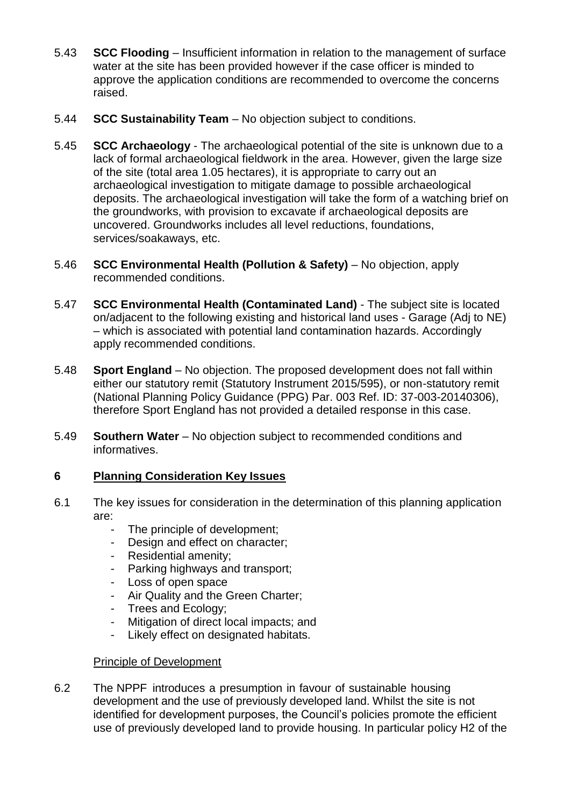- 5.43 **SCC Flooding**  Insufficient information in relation to the management of surface water at the site has been provided however if the case officer is minded to approve the application conditions are recommended to overcome the concerns raised.
- 5.44 **SCC Sustainability Team**  No objection subject to conditions.
- 5.45 **SCC Archaeology**  The archaeological potential of the site is unknown due to a lack of formal archaeological fieldwork in the area. However, given the large size of the site (total area 1.05 hectares), it is appropriate to carry out an archaeological investigation to mitigate damage to possible archaeological deposits. The archaeological investigation will take the form of a watching brief on the groundworks, with provision to excavate if archaeological deposits are uncovered. Groundworks includes all level reductions, foundations, services/soakaways, etc.
- 5.46 **SCC Environmental Health (Pollution & Safety)** No objection, apply recommended conditions.
- 5.47 **SCC Environmental Health (Contaminated Land)**  The subject site is located on/adjacent to the following existing and historical land uses - Garage (Adj to NE) – which is associated with potential land contamination hazards. Accordingly apply recommended conditions.
- 5.48 **Sport England** No objection. The proposed development does not fall within either our statutory remit (Statutory Instrument 2015/595), or non-statutory remit (National Planning Policy Guidance (PPG) Par. 003 Ref. ID: 37-003-20140306), therefore Sport England has not provided a detailed response in this case.
- 5.49 **Southern Water** No objection subject to recommended conditions and informatives.

# **6 Planning Consideration Key Issues**

- 6.1 The key issues for consideration in the determination of this planning application are:
	- The principle of development;
	- Design and effect on character;
	- Residential amenity;
	- Parking highways and transport;
	- Loss of open space
	- Air Quality and the Green Charter;
	- Trees and Ecology;
	- Mitigation of direct local impacts; and
	- Likely effect on designated habitats.

# Principle of Development

6.2 The NPPF introduces a presumption in favour of sustainable housing development and the use of previously developed land. Whilst the site is not identified for development purposes, the Council's policies promote the efficient use of previously developed land to provide housing. In particular policy H2 of the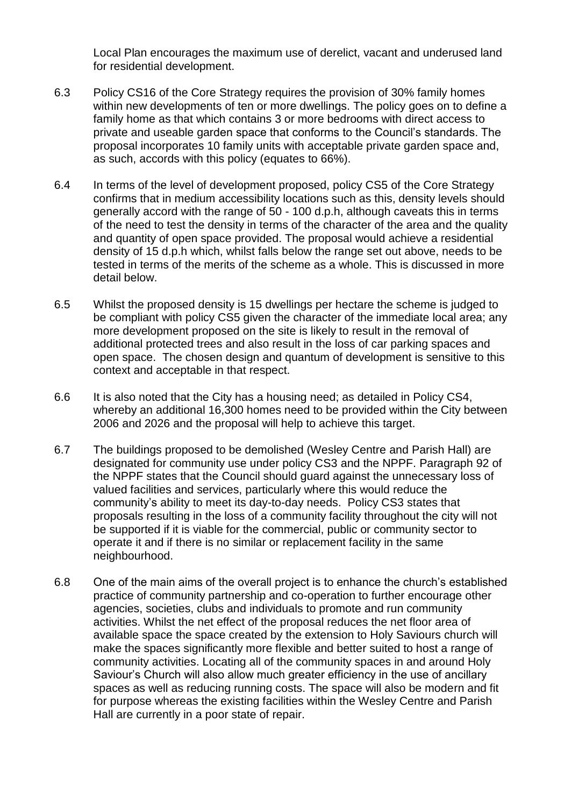Local Plan encourages the maximum use of derelict, vacant and underused land for residential development.

- 6.3 Policy CS16 of the Core Strategy requires the provision of 30% family homes within new developments of ten or more dwellings. The policy goes on to define a family home as that which contains 3 or more bedrooms with direct access to private and useable garden space that conforms to the Council's standards. The proposal incorporates 10 family units with acceptable private garden space and, as such, accords with this policy (equates to 66%).
- 6.4 In terms of the level of development proposed, policy CS5 of the Core Strategy confirms that in medium accessibility locations such as this, density levels should generally accord with the range of 50 - 100 d.p.h, although caveats this in terms of the need to test the density in terms of the character of the area and the quality and quantity of open space provided. The proposal would achieve a residential density of 15 d.p.h which, whilst falls below the range set out above, needs to be tested in terms of the merits of the scheme as a whole. This is discussed in more detail below.
- 6.5 Whilst the proposed density is 15 dwellings per hectare the scheme is judged to be compliant with policy CS5 given the character of the immediate local area; any more development proposed on the site is likely to result in the removal of additional protected trees and also result in the loss of car parking spaces and open space. The chosen design and quantum of development is sensitive to this context and acceptable in that respect.
- 6.6 It is also noted that the City has a housing need; as detailed in Policy CS4, whereby an additional 16,300 homes need to be provided within the City between 2006 and 2026 and the proposal will help to achieve this target.
- 6.7 The buildings proposed to be demolished (Wesley Centre and Parish Hall) are designated for community use under policy CS3 and the NPPF. Paragraph 92 of the NPPF states that the Council should guard against the unnecessary loss of valued facilities and services, particularly where this would reduce the community's ability to meet its day-to-day needs. Policy CS3 states that proposals resulting in the loss of a community facility throughout the city will not be supported if it is viable for the commercial, public or community sector to operate it and if there is no similar or replacement facility in the same neighbourhood.
- 6.8 One of the main aims of the overall project is to enhance the church's established practice of community partnership and co-operation to further encourage other agencies, societies, clubs and individuals to promote and run community activities. Whilst the net effect of the proposal reduces the net floor area of available space the space created by the extension to Holy Saviours church will make the spaces significantly more flexible and better suited to host a range of community activities. Locating all of the community spaces in and around Holy Saviour's Church will also allow much greater efficiency in the use of ancillary spaces as well as reducing running costs. The space will also be modern and fit for purpose whereas the existing facilities within the Wesley Centre and Parish Hall are currently in a poor state of repair.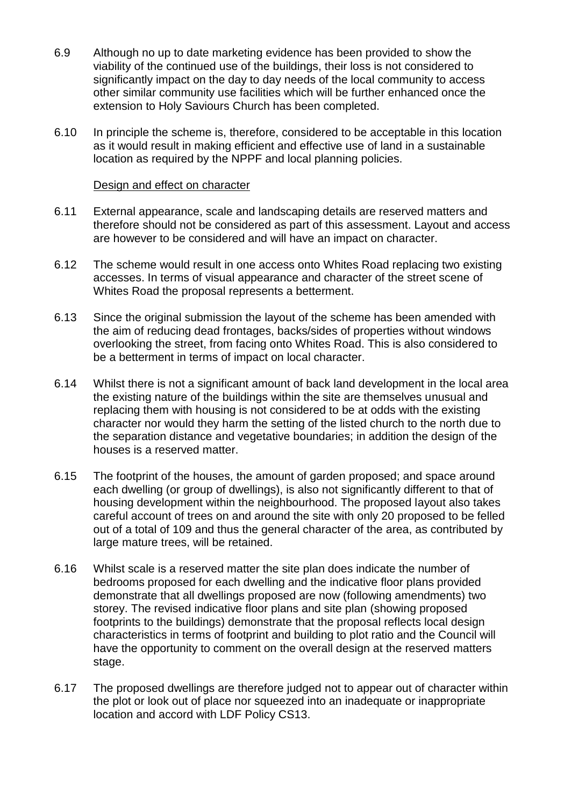- 6.9 Although no up to date marketing evidence has been provided to show the viability of the continued use of the buildings, their loss is not considered to significantly impact on the day to day needs of the local community to access other similar community use facilities which will be further enhanced once the extension to Holy Saviours Church has been completed.
- 6.10 In principle the scheme is, therefore, considered to be acceptable in this location as it would result in making efficient and effective use of land in a sustainable location as required by the NPPF and local planning policies.

#### Design and effect on character

- 6.11 External appearance, scale and landscaping details are reserved matters and therefore should not be considered as part of this assessment. Layout and access are however to be considered and will have an impact on character.
- 6.12 The scheme would result in one access onto Whites Road replacing two existing accesses. In terms of visual appearance and character of the street scene of Whites Road the proposal represents a betterment.
- 6.13 Since the original submission the layout of the scheme has been amended with the aim of reducing dead frontages, backs/sides of properties without windows overlooking the street, from facing onto Whites Road. This is also considered to be a betterment in terms of impact on local character.
- 6.14 Whilst there is not a significant amount of back land development in the local area the existing nature of the buildings within the site are themselves unusual and replacing them with housing is not considered to be at odds with the existing character nor would they harm the setting of the listed church to the north due to the separation distance and vegetative boundaries; in addition the design of the houses is a reserved matter.
- 6.15 The footprint of the houses, the amount of garden proposed; and space around each dwelling (or group of dwellings), is also not significantly different to that of housing development within the neighbourhood. The proposed layout also takes careful account of trees on and around the site with only 20 proposed to be felled out of a total of 109 and thus the general character of the area, as contributed by large mature trees, will be retained.
- 6.16 Whilst scale is a reserved matter the site plan does indicate the number of bedrooms proposed for each dwelling and the indicative floor plans provided demonstrate that all dwellings proposed are now (following amendments) two storey. The revised indicative floor plans and site plan (showing proposed footprints to the buildings) demonstrate that the proposal reflects local design characteristics in terms of footprint and building to plot ratio and the Council will have the opportunity to comment on the overall design at the reserved matters stage.
- 6.17 The proposed dwellings are therefore judged not to appear out of character within the plot or look out of place nor squeezed into an inadequate or inappropriate location and accord with LDF Policy CS13.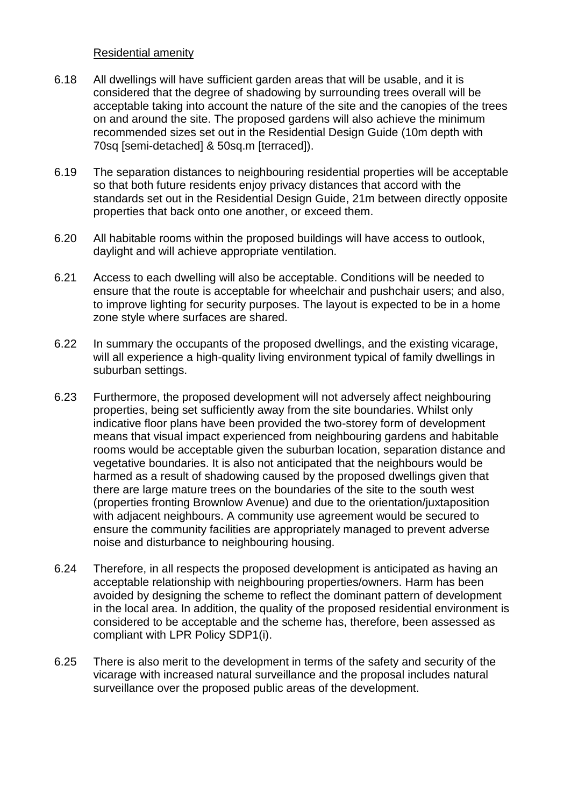#### Residential amenity

- 6.18 All dwellings will have sufficient garden areas that will be usable, and it is considered that the degree of shadowing by surrounding trees overall will be acceptable taking into account the nature of the site and the canopies of the trees on and around the site. The proposed gardens will also achieve the minimum recommended sizes set out in the Residential Design Guide (10m depth with 70sq [semi-detached] & 50sq.m [terraced]).
- 6.19 The separation distances to neighbouring residential properties will be acceptable so that both future residents enjoy privacy distances that accord with the standards set out in the Residential Design Guide, 21m between directly opposite properties that back onto one another, or exceed them.
- 6.20 All habitable rooms within the proposed buildings will have access to outlook, daylight and will achieve appropriate ventilation.
- 6.21 Access to each dwelling will also be acceptable. Conditions will be needed to ensure that the route is acceptable for wheelchair and pushchair users; and also, to improve lighting for security purposes. The layout is expected to be in a home zone style where surfaces are shared.
- 6.22 In summary the occupants of the proposed dwellings, and the existing vicarage, will all experience a high-quality living environment typical of family dwellings in suburban settings.
- 6.23 Furthermore, the proposed development will not adversely affect neighbouring properties, being set sufficiently away from the site boundaries. Whilst only indicative floor plans have been provided the two-storey form of development means that visual impact experienced from neighbouring gardens and habitable rooms would be acceptable given the suburban location, separation distance and vegetative boundaries. It is also not anticipated that the neighbours would be harmed as a result of shadowing caused by the proposed dwellings given that there are large mature trees on the boundaries of the site to the south west (properties fronting Brownlow Avenue) and due to the orientation/juxtaposition with adjacent neighbours. A community use agreement would be secured to ensure the community facilities are appropriately managed to prevent adverse noise and disturbance to neighbouring housing.
- 6.24 Therefore, in all respects the proposed development is anticipated as having an acceptable relationship with neighbouring properties/owners. Harm has been avoided by designing the scheme to reflect the dominant pattern of development in the local area. In addition, the quality of the proposed residential environment is considered to be acceptable and the scheme has, therefore, been assessed as compliant with LPR Policy SDP1(i).
- 6.25 There is also merit to the development in terms of the safety and security of the vicarage with increased natural surveillance and the proposal includes natural surveillance over the proposed public areas of the development.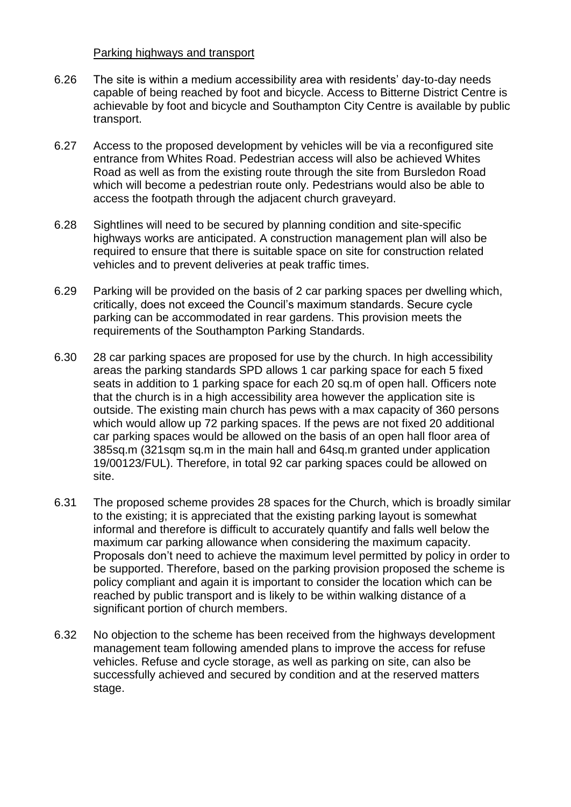#### Parking highways and transport

- 6.26 The site is within a medium accessibility area with residents' day-to-day needs capable of being reached by foot and bicycle. Access to Bitterne District Centre is achievable by foot and bicycle and Southampton City Centre is available by public transport.
- 6.27 Access to the proposed development by vehicles will be via a reconfigured site entrance from Whites Road. Pedestrian access will also be achieved Whites Road as well as from the existing route through the site from Bursledon Road which will become a pedestrian route only. Pedestrians would also be able to access the footpath through the adjacent church graveyard.
- 6.28 Sightlines will need to be secured by planning condition and site-specific highways works are anticipated. A construction management plan will also be required to ensure that there is suitable space on site for construction related vehicles and to prevent deliveries at peak traffic times.
- 6.29 Parking will be provided on the basis of 2 car parking spaces per dwelling which, critically, does not exceed the Council's maximum standards. Secure cycle parking can be accommodated in rear gardens. This provision meets the requirements of the Southampton Parking Standards.
- 6.30 28 car parking spaces are proposed for use by the church. In high accessibility areas the parking standards SPD allows 1 car parking space for each 5 fixed seats in addition to 1 parking space for each 20 sq.m of open hall. Officers note that the church is in a high accessibility area however the application site is outside. The existing main church has pews with a max capacity of 360 persons which would allow up 72 parking spaces. If the pews are not fixed 20 additional car parking spaces would be allowed on the basis of an open hall floor area of 385sq.m (321sqm sq.m in the main hall and 64sq.m granted under application 19/00123/FUL). Therefore, in total 92 car parking spaces could be allowed on site.
- 6.31 The proposed scheme provides 28 spaces for the Church, which is broadly similar to the existing; it is appreciated that the existing parking layout is somewhat informal and therefore is difficult to accurately quantify and falls well below the maximum car parking allowance when considering the maximum capacity. Proposals don't need to achieve the maximum level permitted by policy in order to be supported. Therefore, based on the parking provision proposed the scheme is policy compliant and again it is important to consider the location which can be reached by public transport and is likely to be within walking distance of a significant portion of church members.
- 6.32 No objection to the scheme has been received from the highways development management team following amended plans to improve the access for refuse vehicles. Refuse and cycle storage, as well as parking on site, can also be successfully achieved and secured by condition and at the reserved matters stage.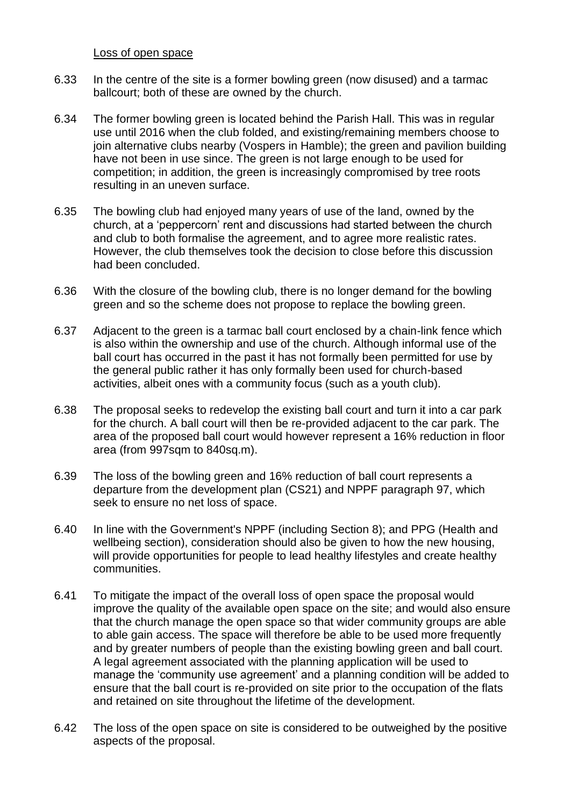Loss of open space

- 6.33 In the centre of the site is a former bowling green (now disused) and a tarmac ballcourt; both of these are owned by the church.
- 6.34 The former bowling green is located behind the Parish Hall. This was in regular use until 2016 when the club folded, and existing/remaining members choose to join alternative clubs nearby (Vospers in Hamble); the green and pavilion building have not been in use since. The green is not large enough to be used for competition; in addition, the green is increasingly compromised by tree roots resulting in an uneven surface.
- 6.35 The bowling club had enjoyed many years of use of the land, owned by the church, at a 'peppercorn' rent and discussions had started between the church and club to both formalise the agreement, and to agree more realistic rates. However, the club themselves took the decision to close before this discussion had been concluded.
- 6.36 With the closure of the bowling club, there is no longer demand for the bowling green and so the scheme does not propose to replace the bowling green.
- 6.37 Adjacent to the green is a tarmac ball court enclosed by a chain-link fence which is also within the ownership and use of the church. Although informal use of the ball court has occurred in the past it has not formally been permitted for use by the general public rather it has only formally been used for church-based activities, albeit ones with a community focus (such as a youth club).
- 6.38 The proposal seeks to redevelop the existing ball court and turn it into a car park for the church. A ball court will then be re-provided adjacent to the car park. The area of the proposed ball court would however represent a 16% reduction in floor area (from 997sqm to 840sq.m).
- 6.39 The loss of the bowling green and 16% reduction of ball court represents a departure from the development plan (CS21) and NPPF paragraph 97, which seek to ensure no net loss of space.
- 6.40 In line with the Government's NPPF (including Section 8); and PPG (Health and wellbeing section), consideration should also be given to how the new housing, will provide opportunities for people to lead healthy lifestyles and create healthy communities.
- 6.41 To mitigate the impact of the overall loss of open space the proposal would improve the quality of the available open space on the site; and would also ensure that the church manage the open space so that wider community groups are able to able gain access. The space will therefore be able to be used more frequently and by greater numbers of people than the existing bowling green and ball court. A legal agreement associated with the planning application will be used to manage the 'community use agreement' and a planning condition will be added to ensure that the ball court is re-provided on site prior to the occupation of the flats and retained on site throughout the lifetime of the development.
- 6.42 The loss of the open space on site is considered to be outweighed by the positive aspects of the proposal.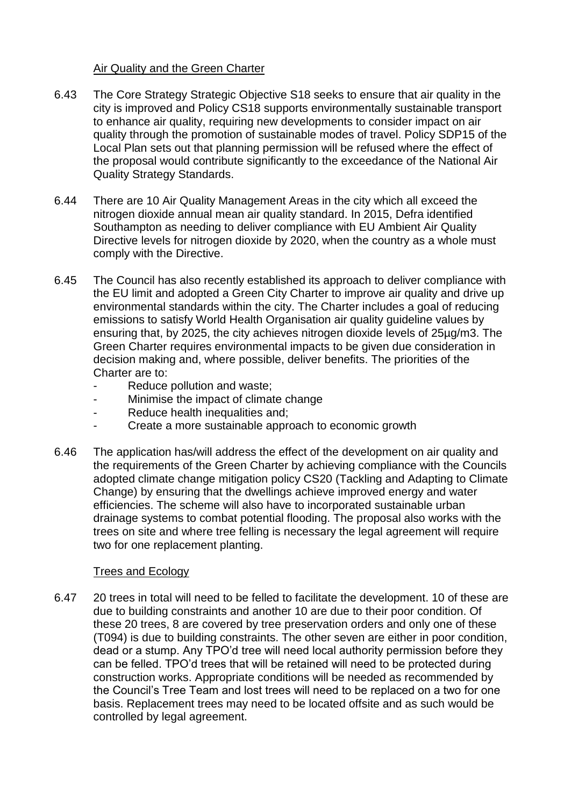#### Air Quality and the Green Charter

- 6.43 The Core Strategy Strategic Objective S18 seeks to ensure that air quality in the city is improved and Policy CS18 supports environmentally sustainable transport to enhance air quality, requiring new developments to consider impact on air quality through the promotion of sustainable modes of travel. Policy SDP15 of the Local Plan sets out that planning permission will be refused where the effect of the proposal would contribute significantly to the exceedance of the National Air Quality Strategy Standards.
- 6.44 There are 10 Air Quality Management Areas in the city which all exceed the nitrogen dioxide annual mean air quality standard. In 2015, Defra identified Southampton as needing to deliver compliance with EU Ambient Air Quality Directive levels for nitrogen dioxide by 2020, when the country as a whole must comply with the Directive.
- 6.45 The Council has also recently established its approach to deliver compliance with the EU limit and adopted a Green City Charter to improve air quality and drive up environmental standards within the city. The Charter includes a goal of reducing emissions to satisfy World Health Organisation air quality guideline values by ensuring that, by 2025, the city achieves nitrogen dioxide levels of 25µg/m3. The Green Charter requires environmental impacts to be given due consideration in decision making and, where possible, deliver benefits. The priorities of the Charter are to:
	- Reduce pollution and waste;
	- Minimise the impact of climate change
	- Reduce health inequalities and;
	- Create a more sustainable approach to economic growth
- 6.46 The application has/will address the effect of the development on air quality and the requirements of the Green Charter by achieving compliance with the Councils adopted climate change mitigation policy CS20 (Tackling and Adapting to Climate Change) by ensuring that the dwellings achieve improved energy and water efficiencies. The scheme will also have to incorporated sustainable urban drainage systems to combat potential flooding. The proposal also works with the trees on site and where tree felling is necessary the legal agreement will require two for one replacement planting.

#### Trees and Ecology

6.47 20 trees in total will need to be felled to facilitate the development. 10 of these are due to building constraints and another 10 are due to their poor condition. Of these 20 trees, 8 are covered by tree preservation orders and only one of these (T094) is due to building constraints. The other seven are either in poor condition, dead or a stump. Any TPO'd tree will need local authority permission before they can be felled. TPO'd trees that will be retained will need to be protected during construction works. Appropriate conditions will be needed as recommended by the Council's Tree Team and lost trees will need to be replaced on a two for one basis. Replacement trees may need to be located offsite and as such would be controlled by legal agreement.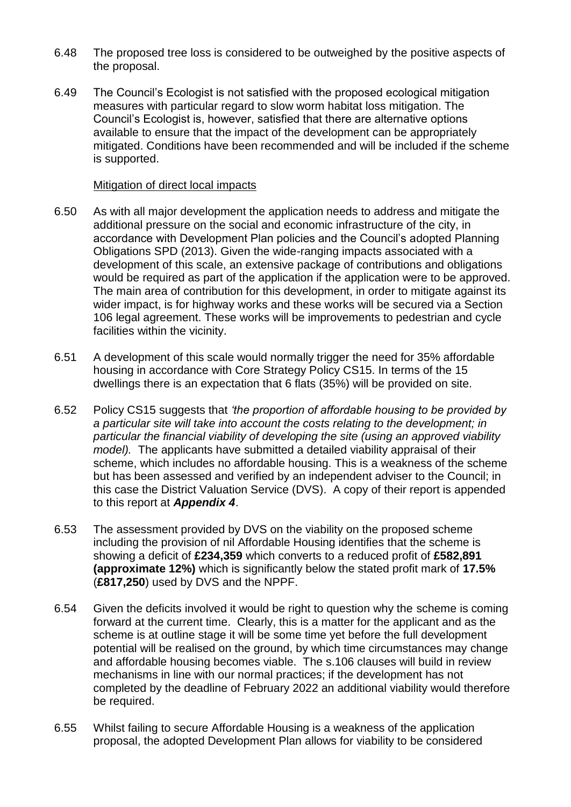- 6.48 The proposed tree loss is considered to be outweighed by the positive aspects of the proposal.
- 6.49 The Council's Ecologist is not satisfied with the proposed ecological mitigation measures with particular regard to slow worm habitat loss mitigation. The Council's Ecologist is, however, satisfied that there are alternative options available to ensure that the impact of the development can be appropriately mitigated. Conditions have been recommended and will be included if the scheme is supported.

#### Mitigation of direct local impacts

- 6.50 As with all major development the application needs to address and mitigate the additional pressure on the social and economic infrastructure of the city, in accordance with Development Plan policies and the Council's adopted Planning Obligations SPD (2013). Given the wide-ranging impacts associated with a development of this scale, an extensive package of contributions and obligations would be required as part of the application if the application were to be approved. The main area of contribution for this development, in order to mitigate against its wider impact, is for highway works and these works will be secured via a Section 106 legal agreement. These works will be improvements to pedestrian and cycle facilities within the vicinity.
- 6.51 A development of this scale would normally trigger the need for 35% affordable housing in accordance with Core Strategy Policy CS15. In terms of the 15 dwellings there is an expectation that 6 flats (35%) will be provided on site.
- 6.52 Policy CS15 suggests that *'the proportion of affordable housing to be provided by a particular site will take into account the costs relating to the development; in particular the financial viability of developing the site (using an approved viability model).* The applicants have submitted a detailed viability appraisal of their scheme, which includes no affordable housing. This is a weakness of the scheme but has been assessed and verified by an independent adviser to the Council; in this case the District Valuation Service (DVS). A copy of their report is appended to this report at *Appendix 4*.
- 6.53 The assessment provided by DVS on the viability on the proposed scheme including the provision of nil Affordable Housing identifies that the scheme is showing a deficit of **£234,359** which converts to a reduced profit of **£582,891 (approximate 12%)** which is significantly below the stated profit mark of **17.5%** (**£817,250**) used by DVS and the NPPF.
- 6.54 Given the deficits involved it would be right to question why the scheme is coming forward at the current time. Clearly, this is a matter for the applicant and as the scheme is at outline stage it will be some time yet before the full development potential will be realised on the ground, by which time circumstances may change and affordable housing becomes viable. The s.106 clauses will build in review mechanisms in line with our normal practices; if the development has not completed by the deadline of February 2022 an additional viability would therefore be required.
- 6.55 Whilst failing to secure Affordable Housing is a weakness of the application proposal, the adopted Development Plan allows for viability to be considered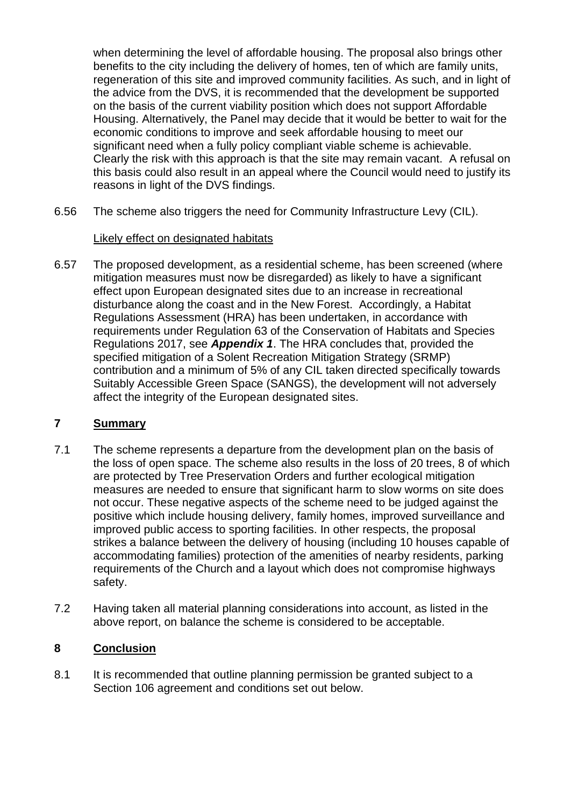when determining the level of affordable housing. The proposal also brings other benefits to the city including the delivery of homes, ten of which are family units, regeneration of this site and improved community facilities. As such, and in light of the advice from the DVS, it is recommended that the development be supported on the basis of the current viability position which does not support Affordable Housing. Alternatively, the Panel may decide that it would be better to wait for the economic conditions to improve and seek affordable housing to meet our significant need when a fully policy compliant viable scheme is achievable. Clearly the risk with this approach is that the site may remain vacant. A refusal on this basis could also result in an appeal where the Council would need to justify its reasons in light of the DVS findings.

6.56 The scheme also triggers the need for Community Infrastructure Levy (CIL).

#### Likely effect on designated habitats

6.57 The proposed development, as a residential scheme, has been screened (where mitigation measures must now be disregarded) as likely to have a significant effect upon European designated sites due to an increase in recreational disturbance along the coast and in the New Forest. Accordingly, a Habitat Regulations Assessment (HRA) has been undertaken, in accordance with requirements under Regulation 63 of the Conservation of Habitats and Species Regulations 2017, see *Appendix 1*. The HRA concludes that, provided the specified mitigation of a Solent Recreation Mitigation Strategy (SRMP) contribution and a minimum of 5% of any CIL taken directed specifically towards Suitably Accessible Green Space (SANGS), the development will not adversely affect the integrity of the European designated sites.

#### **7 Summary**

- 7.1 The scheme represents a departure from the development plan on the basis of the loss of open space. The scheme also results in the loss of 20 trees, 8 of which are protected by Tree Preservation Orders and further ecological mitigation measures are needed to ensure that significant harm to slow worms on site does not occur. These negative aspects of the scheme need to be judged against the positive which include housing delivery, family homes, improved surveillance and improved public access to sporting facilities. In other respects, the proposal strikes a balance between the delivery of housing (including 10 houses capable of accommodating families) protection of the amenities of nearby residents, parking requirements of the Church and a layout which does not compromise highways safety.
- 7.2 Having taken all material planning considerations into account, as listed in the above report, on balance the scheme is considered to be acceptable.

# **8 Conclusion**

8.1 It is recommended that outline planning permission be granted subject to a Section 106 agreement and conditions set out below.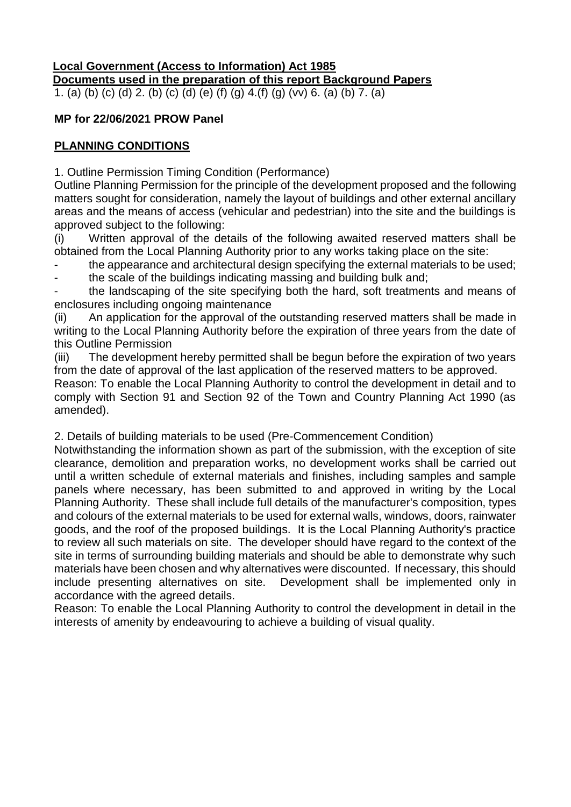# **Local Government (Access to Information) Act 1985 Documents used in the preparation of this report Background Papers**

1. (a) (b) (c) (d) 2. (b) (c) (d) (e) (f) (g) 4.(f) (g) (vv) 6. (a) (b) 7. (a)

# **MP for 22/06/2021 PROW Panel**

# **PLANNING CONDITIONS**

1. Outline Permission Timing Condition (Performance)

Outline Planning Permission for the principle of the development proposed and the following matters sought for consideration, namely the layout of buildings and other external ancillary areas and the means of access (vehicular and pedestrian) into the site and the buildings is approved subject to the following:

(i) Written approval of the details of the following awaited reserved matters shall be obtained from the Local Planning Authority prior to any works taking place on the site:

the appearance and architectural design specifying the external materials to be used;

the scale of the buildings indicating massing and building bulk and;

the landscaping of the site specifying both the hard, soft treatments and means of enclosures including ongoing maintenance

(ii) An application for the approval of the outstanding reserved matters shall be made in writing to the Local Planning Authority before the expiration of three years from the date of this Outline Permission

(iii) The development hereby permitted shall be begun before the expiration of two years from the date of approval of the last application of the reserved matters to be approved.

Reason: To enable the Local Planning Authority to control the development in detail and to comply with Section 91 and Section 92 of the Town and Country Planning Act 1990 (as amended).

2. Details of building materials to be used (Pre-Commencement Condition)

Notwithstanding the information shown as part of the submission, with the exception of site clearance, demolition and preparation works, no development works shall be carried out until a written schedule of external materials and finishes, including samples and sample panels where necessary, has been submitted to and approved in writing by the Local Planning Authority. These shall include full details of the manufacturer's composition, types and colours of the external materials to be used for external walls, windows, doors, rainwater goods, and the roof of the proposed buildings. It is the Local Planning Authority's practice to review all such materials on site. The developer should have regard to the context of the site in terms of surrounding building materials and should be able to demonstrate why such materials have been chosen and why alternatives were discounted. If necessary, this should include presenting alternatives on site. Development shall be implemented only in accordance with the agreed details.

Reason: To enable the Local Planning Authority to control the development in detail in the interests of amenity by endeavouring to achieve a building of visual quality.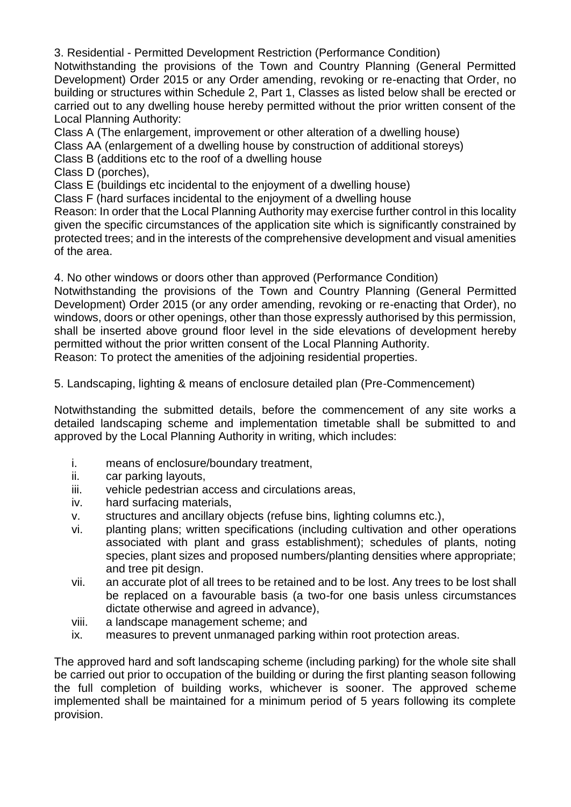3. Residential - Permitted Development Restriction (Performance Condition)

Notwithstanding the provisions of the Town and Country Planning (General Permitted Development) Order 2015 or any Order amending, revoking or re-enacting that Order, no building or structures within Schedule 2, Part 1, Classes as listed below shall be erected or carried out to any dwelling house hereby permitted without the prior written consent of the Local Planning Authority:

Class A (The enlargement, improvement or other alteration of a dwelling house)

- Class AA (enlargement of a dwelling house by construction of additional storeys)
- Class B (additions etc to the roof of a dwelling house

Class D (porches),

Class E (buildings etc incidental to the enjoyment of a dwelling house)

Class F (hard surfaces incidental to the enjoyment of a dwelling house

Reason: In order that the Local Planning Authority may exercise further control in this locality given the specific circumstances of the application site which is significantly constrained by protected trees; and in the interests of the comprehensive development and visual amenities of the area.

4. No other windows or doors other than approved (Performance Condition)

Notwithstanding the provisions of the Town and Country Planning (General Permitted Development) Order 2015 (or any order amending, revoking or re-enacting that Order), no windows, doors or other openings, other than those expressly authorised by this permission, shall be inserted above ground floor level in the side elevations of development hereby permitted without the prior written consent of the Local Planning Authority.

Reason: To protect the amenities of the adjoining residential properties.

5. Landscaping, lighting & means of enclosure detailed plan (Pre-Commencement)

Notwithstanding the submitted details, before the commencement of any site works a detailed landscaping scheme and implementation timetable shall be submitted to and approved by the Local Planning Authority in writing, which includes:

- i. means of enclosure/boundary treatment,
- ii. car parking layouts,
- iii. vehicle pedestrian access and circulations areas,
- iv. hard surfacing materials,
- v. structures and ancillary objects (refuse bins, lighting columns etc.),
- vi. planting plans; written specifications (including cultivation and other operations associated with plant and grass establishment); schedules of plants, noting species, plant sizes and proposed numbers/planting densities where appropriate; and tree pit design.
- vii. an accurate plot of all trees to be retained and to be lost. Any trees to be lost shall be replaced on a favourable basis (a two-for one basis unless circumstances dictate otherwise and agreed in advance),
- viii. a landscape management scheme; and
- ix. measures to prevent unmanaged parking within root protection areas.

The approved hard and soft landscaping scheme (including parking) for the whole site shall be carried out prior to occupation of the building or during the first planting season following the full completion of building works, whichever is sooner. The approved scheme implemented shall be maintained for a minimum period of 5 years following its complete provision.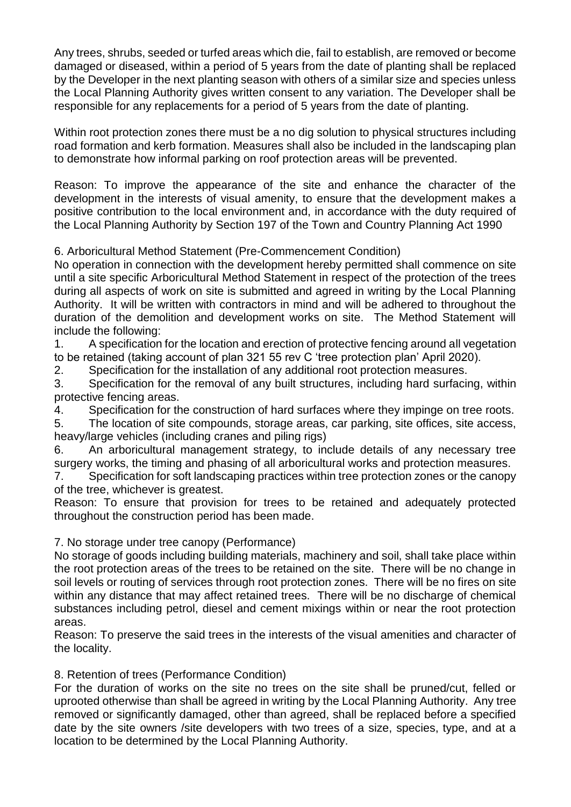Any trees, shrubs, seeded or turfed areas which die, fail to establish, are removed or become damaged or diseased, within a period of 5 years from the date of planting shall be replaced by the Developer in the next planting season with others of a similar size and species unless the Local Planning Authority gives written consent to any variation. The Developer shall be responsible for any replacements for a period of 5 years from the date of planting.

Within root protection zones there must be a no dig solution to physical structures including road formation and kerb formation. Measures shall also be included in the landscaping plan to demonstrate how informal parking on roof protection areas will be prevented.

Reason: To improve the appearance of the site and enhance the character of the development in the interests of visual amenity, to ensure that the development makes a positive contribution to the local environment and, in accordance with the duty required of the Local Planning Authority by Section 197 of the Town and Country Planning Act 1990

# 6. Arboricultural Method Statement (Pre-Commencement Condition)

No operation in connection with the development hereby permitted shall commence on site until a site specific Arboricultural Method Statement in respect of the protection of the trees during all aspects of work on site is submitted and agreed in writing by the Local Planning Authority. It will be written with contractors in mind and will be adhered to throughout the duration of the demolition and development works on site. The Method Statement will include the following:

1. A specification for the location and erection of protective fencing around all vegetation to be retained (taking account of plan 321 55 rev C 'tree protection plan' April 2020).

2. Specification for the installation of any additional root protection measures.

3. Specification for the removal of any built structures, including hard surfacing, within protective fencing areas.

4. Specification for the construction of hard surfaces where they impinge on tree roots.

5. The location of site compounds, storage areas, car parking, site offices, site access, heavy/large vehicles (including cranes and piling rigs)

6. An arboricultural management strategy, to include details of any necessary tree surgery works, the timing and phasing of all arboricultural works and protection measures.

7. Specification for soft landscaping practices within tree protection zones or the canopy of the tree, whichever is greatest.

Reason: To ensure that provision for trees to be retained and adequately protected throughout the construction period has been made.

# 7. No storage under tree canopy (Performance)

No storage of goods including building materials, machinery and soil, shall take place within the root protection areas of the trees to be retained on the site. There will be no change in soil levels or routing of services through root protection zones. There will be no fires on site within any distance that may affect retained trees. There will be no discharge of chemical substances including petrol, diesel and cement mixings within or near the root protection areas.

Reason: To preserve the said trees in the interests of the visual amenities and character of the locality.

# 8. Retention of trees (Performance Condition)

For the duration of works on the site no trees on the site shall be pruned/cut, felled or uprooted otherwise than shall be agreed in writing by the Local Planning Authority. Any tree removed or significantly damaged, other than agreed, shall be replaced before a specified date by the site owners /site developers with two trees of a size, species, type, and at a location to be determined by the Local Planning Authority.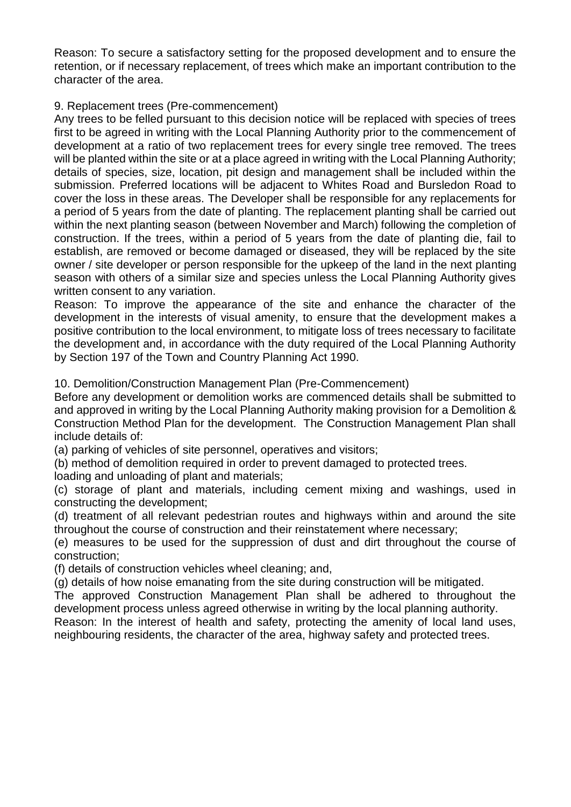Reason: To secure a satisfactory setting for the proposed development and to ensure the retention, or if necessary replacement, of trees which make an important contribution to the character of the area.

## 9. Replacement trees (Pre-commencement)

Any trees to be felled pursuant to this decision notice will be replaced with species of trees first to be agreed in writing with the Local Planning Authority prior to the commencement of development at a ratio of two replacement trees for every single tree removed. The trees will be planted within the site or at a place agreed in writing with the Local Planning Authority; details of species, size, location, pit design and management shall be included within the submission. Preferred locations will be adjacent to Whites Road and Bursledon Road to cover the loss in these areas. The Developer shall be responsible for any replacements for a period of 5 years from the date of planting. The replacement planting shall be carried out within the next planting season (between November and March) following the completion of construction. If the trees, within a period of 5 years from the date of planting die, fail to establish, are removed or become damaged or diseased, they will be replaced by the site owner / site developer or person responsible for the upkeep of the land in the next planting season with others of a similar size and species unless the Local Planning Authority gives written consent to any variation.

Reason: To improve the appearance of the site and enhance the character of the development in the interests of visual amenity, to ensure that the development makes a positive contribution to the local environment, to mitigate loss of trees necessary to facilitate the development and, in accordance with the duty required of the Local Planning Authority by Section 197 of the Town and Country Planning Act 1990.

10. Demolition/Construction Management Plan (Pre-Commencement)

Before any development or demolition works are commenced details shall be submitted to and approved in writing by the Local Planning Authority making provision for a Demolition & Construction Method Plan for the development. The Construction Management Plan shall include details of:

(a) parking of vehicles of site personnel, operatives and visitors;

(b) method of demolition required in order to prevent damaged to protected trees.

loading and unloading of plant and materials;

(c) storage of plant and materials, including cement mixing and washings, used in constructing the development;

(d) treatment of all relevant pedestrian routes and highways within and around the site throughout the course of construction and their reinstatement where necessary;

(e) measures to be used for the suppression of dust and dirt throughout the course of construction;

(f) details of construction vehicles wheel cleaning; and,

(g) details of how noise emanating from the site during construction will be mitigated.

The approved Construction Management Plan shall be adhered to throughout the development process unless agreed otherwise in writing by the local planning authority.

Reason: In the interest of health and safety, protecting the amenity of local land uses, neighbouring residents, the character of the area, highway safety and protected trees.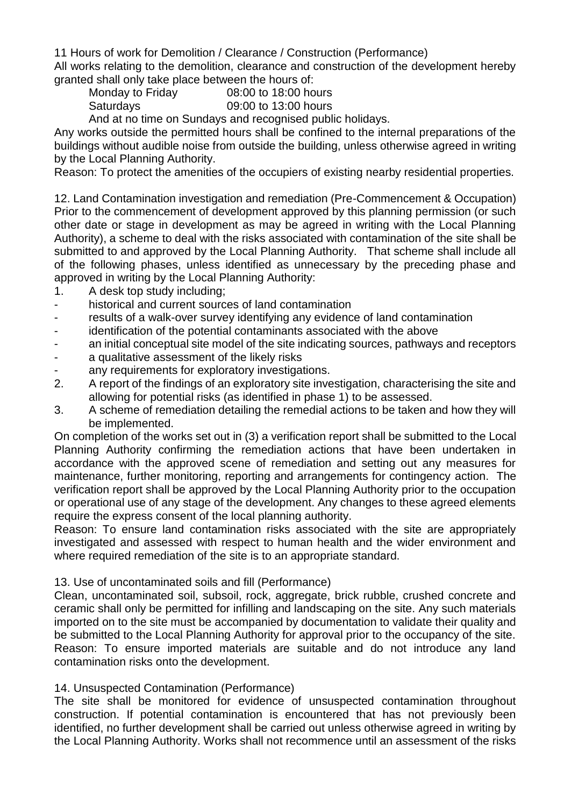11 Hours of work for Demolition / Clearance / Construction (Performance)

All works relating to the demolition, clearance and construction of the development hereby granted shall only take place between the hours of:

- Monday to Friday 08:00 to 18:00 hours
	- Saturdays 09:00 to 13:00 hours

And at no time on Sundays and recognised public holidays.

Any works outside the permitted hours shall be confined to the internal preparations of the buildings without audible noise from outside the building, unless otherwise agreed in writing by the Local Planning Authority.

Reason: To protect the amenities of the occupiers of existing nearby residential properties.

12. Land Contamination investigation and remediation (Pre-Commencement & Occupation) Prior to the commencement of development approved by this planning permission (or such other date or stage in development as may be agreed in writing with the Local Planning Authority), a scheme to deal with the risks associated with contamination of the site shall be submitted to and approved by the Local Planning Authority. That scheme shall include all of the following phases, unless identified as unnecessary by the preceding phase and approved in writing by the Local Planning Authority:

- 1. A desk top study including;
- historical and current sources of land contamination
- results of a walk-over survey identifying any evidence of land contamination
- identification of the potential contaminants associated with the above
- an initial conceptual site model of the site indicating sources, pathways and receptors
- a qualitative assessment of the likely risks
- any requirements for exploratory investigations.
- 2. A report of the findings of an exploratory site investigation, characterising the site and allowing for potential risks (as identified in phase 1) to be assessed.
- 3. A scheme of remediation detailing the remedial actions to be taken and how they will be implemented.

On completion of the works set out in (3) a verification report shall be submitted to the Local Planning Authority confirming the remediation actions that have been undertaken in accordance with the approved scene of remediation and setting out any measures for maintenance, further monitoring, reporting and arrangements for contingency action. The verification report shall be approved by the Local Planning Authority prior to the occupation or operational use of any stage of the development. Any changes to these agreed elements require the express consent of the local planning authority.

Reason: To ensure land contamination risks associated with the site are appropriately investigated and assessed with respect to human health and the wider environment and where required remediation of the site is to an appropriate standard.

# 13. Use of uncontaminated soils and fill (Performance)

Clean, uncontaminated soil, subsoil, rock, aggregate, brick rubble, crushed concrete and ceramic shall only be permitted for infilling and landscaping on the site. Any such materials imported on to the site must be accompanied by documentation to validate their quality and be submitted to the Local Planning Authority for approval prior to the occupancy of the site. Reason: To ensure imported materials are suitable and do not introduce any land contamination risks onto the development.

# 14. Unsuspected Contamination (Performance)

The site shall be monitored for evidence of unsuspected contamination throughout construction. If potential contamination is encountered that has not previously been identified, no further development shall be carried out unless otherwise agreed in writing by the Local Planning Authority. Works shall not recommence until an assessment of the risks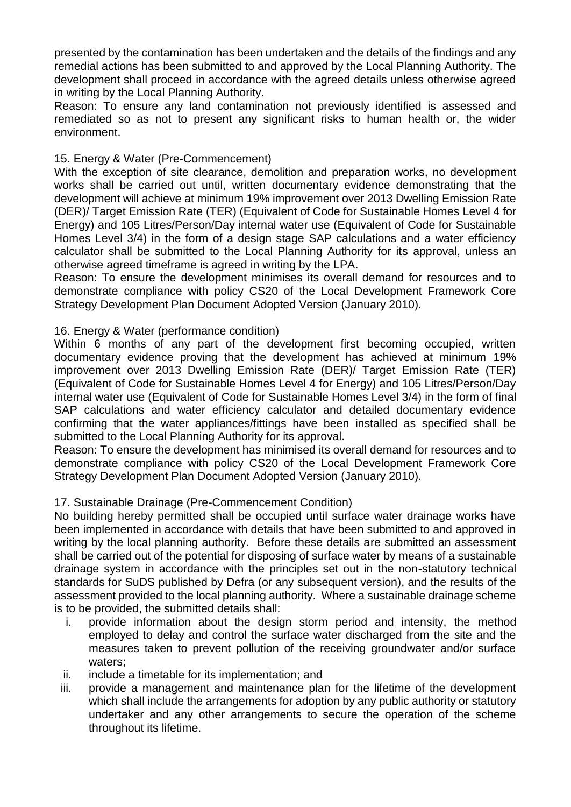presented by the contamination has been undertaken and the details of the findings and any remedial actions has been submitted to and approved by the Local Planning Authority. The development shall proceed in accordance with the agreed details unless otherwise agreed in writing by the Local Planning Authority.

Reason: To ensure any land contamination not previously identified is assessed and remediated so as not to present any significant risks to human health or, the wider environment.

#### 15. Energy & Water (Pre-Commencement)

With the exception of site clearance, demolition and preparation works, no development works shall be carried out until, written documentary evidence demonstrating that the development will achieve at minimum 19% improvement over 2013 Dwelling Emission Rate (DER)/ Target Emission Rate (TER) (Equivalent of Code for Sustainable Homes Level 4 for Energy) and 105 Litres/Person/Day internal water use (Equivalent of Code for Sustainable Homes Level 3/4) in the form of a design stage SAP calculations and a water efficiency calculator shall be submitted to the Local Planning Authority for its approval, unless an otherwise agreed timeframe is agreed in writing by the LPA.

Reason: To ensure the development minimises its overall demand for resources and to demonstrate compliance with policy CS20 of the Local Development Framework Core Strategy Development Plan Document Adopted Version (January 2010).

#### 16. Energy & Water (performance condition)

Within 6 months of any part of the development first becoming occupied, written documentary evidence proving that the development has achieved at minimum 19% improvement over 2013 Dwelling Emission Rate (DER)/ Target Emission Rate (TER) (Equivalent of Code for Sustainable Homes Level 4 for Energy) and 105 Litres/Person/Day internal water use (Equivalent of Code for Sustainable Homes Level 3/4) in the form of final SAP calculations and water efficiency calculator and detailed documentary evidence confirming that the water appliances/fittings have been installed as specified shall be submitted to the Local Planning Authority for its approval.

Reason: To ensure the development has minimised its overall demand for resources and to demonstrate compliance with policy CS20 of the Local Development Framework Core Strategy Development Plan Document Adopted Version (January 2010).

#### 17. Sustainable Drainage (Pre-Commencement Condition)

No building hereby permitted shall be occupied until surface water drainage works have been implemented in accordance with details that have been submitted to and approved in writing by the local planning authority. Before these details are submitted an assessment shall be carried out of the potential for disposing of surface water by means of a sustainable drainage system in accordance with the principles set out in the non-statutory technical standards for SuDS published by Defra (or any subsequent version), and the results of the assessment provided to the local planning authority. Where a sustainable drainage scheme is to be provided, the submitted details shall:

- i. provide information about the design storm period and intensity, the method employed to delay and control the surface water discharged from the site and the measures taken to prevent pollution of the receiving groundwater and/or surface waters;
- ii. include a timetable for its implementation; and
- iii. provide a management and maintenance plan for the lifetime of the development which shall include the arrangements for adoption by any public authority or statutory undertaker and any other arrangements to secure the operation of the scheme throughout its lifetime.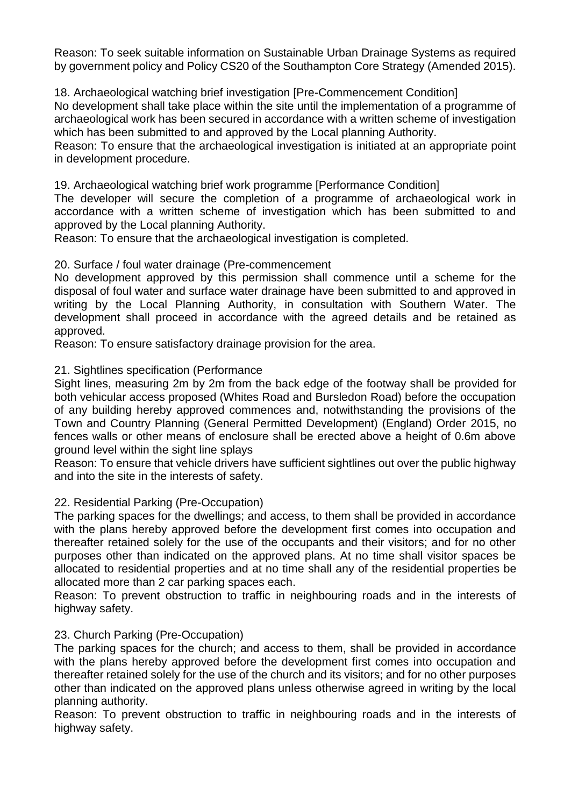Reason: To seek suitable information on Sustainable Urban Drainage Systems as required by government policy and Policy CS20 of the Southampton Core Strategy (Amended 2015).

18. Archaeological watching brief investigation [Pre-Commencement Condition] No development shall take place within the site until the implementation of a programme of archaeological work has been secured in accordance with a written scheme of investigation which has been submitted to and approved by the Local planning Authority.

Reason: To ensure that the archaeological investigation is initiated at an appropriate point in development procedure.

19. Archaeological watching brief work programme [Performance Condition]

The developer will secure the completion of a programme of archaeological work in accordance with a written scheme of investigation which has been submitted to and approved by the Local planning Authority.

Reason: To ensure that the archaeological investigation is completed.

20. Surface / foul water drainage (Pre-commencement

No development approved by this permission shall commence until a scheme for the disposal of foul water and surface water drainage have been submitted to and approved in writing by the Local Planning Authority, in consultation with Southern Water. The development shall proceed in accordance with the agreed details and be retained as approved.

Reason: To ensure satisfactory drainage provision for the area.

## 21. Sightlines specification (Performance

Sight lines, measuring 2m by 2m from the back edge of the footway shall be provided for both vehicular access proposed (Whites Road and Bursledon Road) before the occupation of any building hereby approved commences and, notwithstanding the provisions of the Town and Country Planning (General Permitted Development) (England) Order 2015, no fences walls or other means of enclosure shall be erected above a height of 0.6m above ground level within the sight line splays

Reason: To ensure that vehicle drivers have sufficient sightlines out over the public highway and into the site in the interests of safety.

#### 22. Residential Parking (Pre-Occupation)

The parking spaces for the dwellings; and access, to them shall be provided in accordance with the plans hereby approved before the development first comes into occupation and thereafter retained solely for the use of the occupants and their visitors; and for no other purposes other than indicated on the approved plans. At no time shall visitor spaces be allocated to residential properties and at no time shall any of the residential properties be allocated more than 2 car parking spaces each.

Reason: To prevent obstruction to traffic in neighbouring roads and in the interests of highway safety.

# 23. Church Parking (Pre-Occupation)

The parking spaces for the church; and access to them, shall be provided in accordance with the plans hereby approved before the development first comes into occupation and thereafter retained solely for the use of the church and its visitors; and for no other purposes other than indicated on the approved plans unless otherwise agreed in writing by the local planning authority.

Reason: To prevent obstruction to traffic in neighbouring roads and in the interests of highway safety.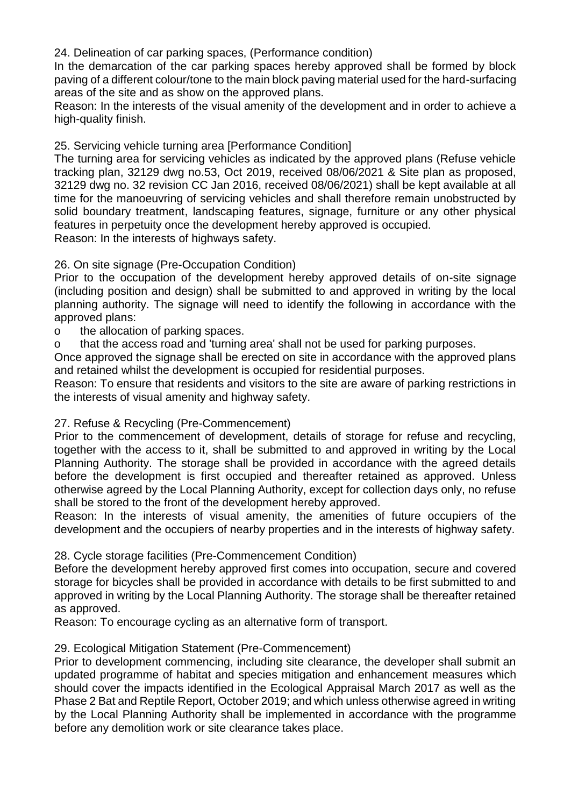24. Delineation of car parking spaces, (Performance condition)

In the demarcation of the car parking spaces hereby approved shall be formed by block paving of a different colour/tone to the main block paving material used for the hard-surfacing areas of the site and as show on the approved plans.

Reason: In the interests of the visual amenity of the development and in order to achieve a high-quality finish.

25. Servicing vehicle turning area [Performance Condition]

The turning area for servicing vehicles as indicated by the approved plans (Refuse vehicle tracking plan, 32129 dwg no.53, Oct 2019, received 08/06/2021 & Site plan as proposed, 32129 dwg no. 32 revision CC Jan 2016, received 08/06/2021) shall be kept available at all time for the manoeuvring of servicing vehicles and shall therefore remain unobstructed by solid boundary treatment, landscaping features, signage, furniture or any other physical features in perpetuity once the development hereby approved is occupied. Reason: In the interests of highways safety.

# 26. On site signage (Pre-Occupation Condition)

Prior to the occupation of the development hereby approved details of on-site signage (including position and design) shall be submitted to and approved in writing by the local planning authority. The signage will need to identify the following in accordance with the approved plans:

o the allocation of parking spaces.

o that the access road and 'turning area' shall not be used for parking purposes.

Once approved the signage shall be erected on site in accordance with the approved plans and retained whilst the development is occupied for residential purposes.

Reason: To ensure that residents and visitors to the site are aware of parking restrictions in the interests of visual amenity and highway safety.

# 27. Refuse & Recycling (Pre-Commencement)

Prior to the commencement of development, details of storage for refuse and recycling, together with the access to it, shall be submitted to and approved in writing by the Local Planning Authority. The storage shall be provided in accordance with the agreed details before the development is first occupied and thereafter retained as approved. Unless otherwise agreed by the Local Planning Authority, except for collection days only, no refuse shall be stored to the front of the development hereby approved.

Reason: In the interests of visual amenity, the amenities of future occupiers of the development and the occupiers of nearby properties and in the interests of highway safety.

28. Cycle storage facilities (Pre-Commencement Condition)

Before the development hereby approved first comes into occupation, secure and covered storage for bicycles shall be provided in accordance with details to be first submitted to and approved in writing by the Local Planning Authority. The storage shall be thereafter retained as approved.

Reason: To encourage cycling as an alternative form of transport.

# 29. Ecological Mitigation Statement (Pre-Commencement)

Prior to development commencing, including site clearance, the developer shall submit an updated programme of habitat and species mitigation and enhancement measures which should cover the impacts identified in the Ecological Appraisal March 2017 as well as the Phase 2 Bat and Reptile Report, October 2019; and which unless otherwise agreed in writing by the Local Planning Authority shall be implemented in accordance with the programme before any demolition work or site clearance takes place.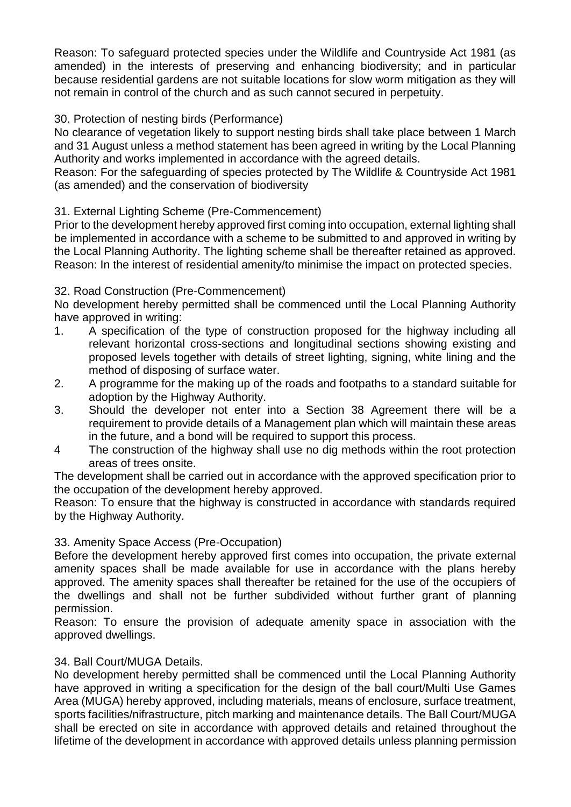Reason: To safeguard protected species under the Wildlife and Countryside Act 1981 (as amended) in the interests of preserving and enhancing biodiversity; and in particular because residential gardens are not suitable locations for slow worm mitigation as they will not remain in control of the church and as such cannot secured in perpetuity.

## 30. Protection of nesting birds (Performance)

No clearance of vegetation likely to support nesting birds shall take place between 1 March and 31 August unless a method statement has been agreed in writing by the Local Planning Authority and works implemented in accordance with the agreed details.

Reason: For the safeguarding of species protected by The Wildlife & Countryside Act 1981 (as amended) and the conservation of biodiversity

## 31. External Lighting Scheme (Pre-Commencement)

Prior to the development hereby approved first coming into occupation, external lighting shall be implemented in accordance with a scheme to be submitted to and approved in writing by the Local Planning Authority. The lighting scheme shall be thereafter retained as approved. Reason: In the interest of residential amenity/to minimise the impact on protected species.

#### 32. Road Construction (Pre-Commencement)

No development hereby permitted shall be commenced until the Local Planning Authority have approved in writing:

- 1. A specification of the type of construction proposed for the highway including all relevant horizontal cross-sections and longitudinal sections showing existing and proposed levels together with details of street lighting, signing, white lining and the method of disposing of surface water.
- 2. A programme for the making up of the roads and footpaths to a standard suitable for adoption by the Highway Authority.
- 3. Should the developer not enter into a Section 38 Agreement there will be a requirement to provide details of a Management plan which will maintain these areas in the future, and a bond will be required to support this process.
- 4 The construction of the highway shall use no dig methods within the root protection areas of trees onsite.

The development shall be carried out in accordance with the approved specification prior to the occupation of the development hereby approved.

Reason: To ensure that the highway is constructed in accordance with standards required by the Highway Authority.

#### 33. Amenity Space Access (Pre-Occupation)

Before the development hereby approved first comes into occupation, the private external amenity spaces shall be made available for use in accordance with the plans hereby approved. The amenity spaces shall thereafter be retained for the use of the occupiers of the dwellings and shall not be further subdivided without further grant of planning permission.

Reason: To ensure the provision of adequate amenity space in association with the approved dwellings.

#### 34. Ball Court/MUGA Details.

No development hereby permitted shall be commenced until the Local Planning Authority have approved in writing a specification for the design of the ball court/Multi Use Games Area (MUGA) hereby approved, including materials, means of enclosure, surface treatment, sports facilities/nifrastructure, pitch marking and maintenance details. The Ball Court/MUGA shall be erected on site in accordance with approved details and retained throughout the lifetime of the development in accordance with approved details unless planning permission